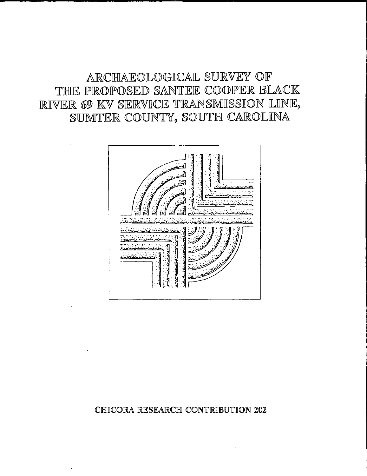# ARCHAEOLOGICAL SURVEY OF THE PROPOSED SANTEE COOPER BLACK RIVER 69 KV SERVICE TRANSMISSION LINE, SUMTER COUNTY, SOUTH CAROLINA



## CHICORA RESEARCH CONTRIBUTION 202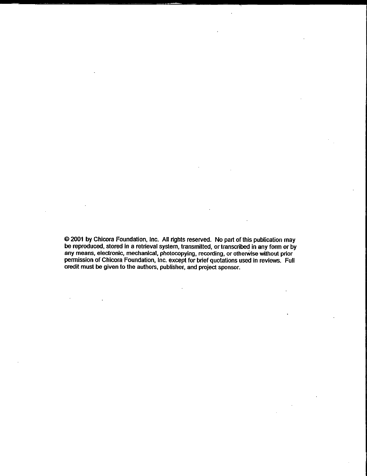© 2001 by Chicora Foundation, Inc. All rights reserved. No part of this publication may be reproduced, stored in a retrieval system, transmitted, or transcribed in any form or by any means, electronic, mechanical, photocopying, recording, or otherwise without prior permission of Chicora Foundation, Inc. except for brief quotations used in reviews. Full credit must be given to the authors, publishef, and project sponsor.

- - - -- ---- ------ \_\_ \_\_\_\_.....\_\_ -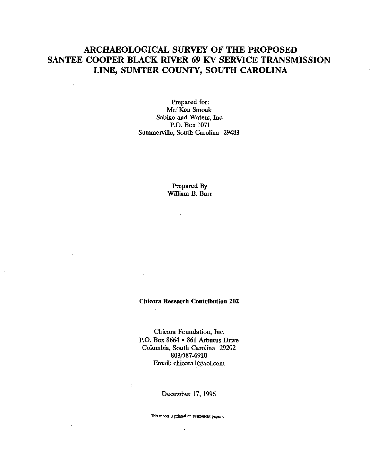## **ARCHAEOLOGICAL SURVEY OF THE PROPOSED SANTEE COOPER BLACK RIVER 69 KV SERVICE TRANSMISSION LINE, SUMTER COUNTY, SOUTH CAROLINA**

 $\ddot{\phantom{a}}$ 

 $\ddot{\phantom{a}}$ 

Prepared for: Mr.' Ken Smoak Sabine and Waters, Inc. P.O. Box 1071 Summerville, South Carolina 29483

> Prepared By William B. Barr

> > $\ddot{\phantom{a}}$

 $\Delta$ 

 $\mathbf{r}$ 

 $\mathcal{L}^{\mathcal{L}}$ 

Chicora Research Contribution 202

Chicora Foundation, Inc. P.O. Box 8664  $*$  861 Arbutus Drive Columbia, South Carolina 29202 803/787-6910 Email: chicoral@aol.com

December 17, 1996

This report is printed on permanent paper  $\infty$ .

 $\bar{a}$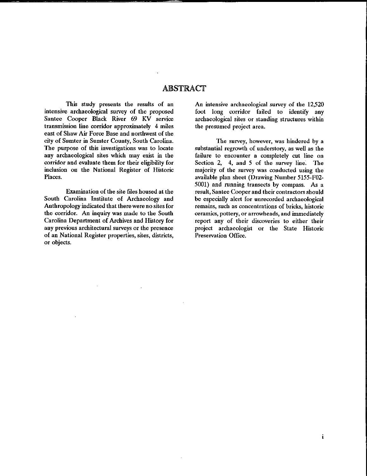### **ABSTRACT**

This study presents the results of an intensive archaeological survey of the proposed Santee Cooper Black River 69 KV service transmission line corridor approximately 4 miles east of Shaw Air Force Base and northwest of the city of Sumter in Sumter County, South Carolina. The purpose of this investigations was to locate any archaeological sites which may exist in the corridor and evaluate them for their eligibility for inclusion on the National Register of Historic Places.

Examination of the site files housed at the South Carolina Institute of Archaeology and Anthropology indicated that there were no sites for the corridor. An inquiry was made to the South Carolina Department of Archives and History for any previous architectural surveys or the presence of an National Register properties, sites, districts, or objects.

An intensive archaeological survey of the 12,520 foot long corridor failed to identify any archaeological sites or standing structures within the presumed project area.

**The survey, however, was hindered by a**  substantial regrowth of understory, as well as the failure to encounter a completely cut line on Section 2, 4, and 5 of the survey line. The majority of the survey was conducted using the available plan sheet (Drawing Number 5155-FOZ-5001) and running transects by compass. As a result, Santee Cooper and their contractors should be especially alert for unrecorded archaeological **remains, such as concentrations of bricks, historic ceramics, pottery, or arrowheads, and immediately**  report any of their discoveries to either their project archaeologist or the State Historic Preservation Office.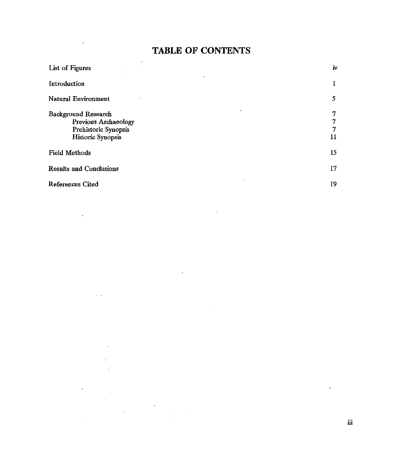## **TABLE OF CONTENTS**

 $\bar{\mathbf{r}}$ 

 $\mathcal{A}$ 

 $\alpha=0$ 

 $\mathcal{L}^{\pm}$ 

 $\bar{z}$ 

 $\ddot{\phantom{a}}$ 

 $\ddot{\phantom{a}}$ 

| List of Figures                                                                                 | $\dot{\mathbf{v}}$ |
|-------------------------------------------------------------------------------------------------|--------------------|
| Introduction                                                                                    |                    |
| <b>Natural Environment</b>                                                                      | 5                  |
| <b>Background Research</b><br>Previous Archaeology<br>Prehistoric Synopsis<br>Historic Synopsis | 7<br>7<br>11       |
| <b>Field Methods</b>                                                                            | 15                 |
| <b>Results and Conclusions</b>                                                                  | 17                 |
| References Cited                                                                                | 19                 |

 $\mathcal{A}$ 

 $\sim$   $\sim$ 

 $\bar{z}$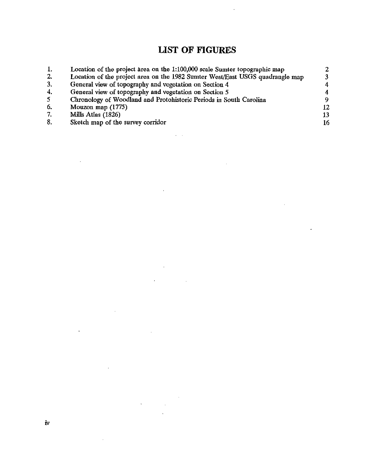## **LIST OF FIGURES**

 $\hat{\mathcal{A}}$ 

 $\mathcal{L}^{\text{max}}_{\text{max}}$  , where  $\mathcal{L}^{\text{max}}_{\text{max}}$ 

 $\sim$   $\sim$ 

 $\hat{\textbf{z}}$ 

|                | Location of the project area on the 1:100,000 scale Sumter topographic map    |     |
|----------------|-------------------------------------------------------------------------------|-----|
| 2 <sub>1</sub> | Location of the project area on the 1982 Sumter West/East USGS quadrangle map |     |
| 3.             | General view of topography and vegetation on Section 4                        |     |
| 4.             | General view of topography and vegetation on Section 5                        |     |
| 5.             | Chronology of Woodland and Protohistoric Periods in South Carolina            |     |
| 6.             | Mouzon map $(1775)$                                                           | 12. |
| 7.             | Mills Atlas (1826)                                                            | 13  |
| 8.             | Sketch map of the survey corridor                                             | 16  |

 $\mathcal{L}^{\text{max}}_{\text{max}}$  and  $\mathcal{L}^{\text{max}}_{\text{max}}$ 

 $\mathcal{L}^{\text{max}}_{\text{max}}$  , where  $\mathcal{L}^{\text{max}}_{\text{max}}$ 

 $\label{eq:2.1} \frac{1}{2} \int_{\mathbb{R}^3} \frac{1}{\sqrt{2}} \, \frac{1}{\sqrt{2}} \, \frac{1}{\sqrt{2}} \, \frac{1}{\sqrt{2}} \, \frac{1}{\sqrt{2}} \, \frac{1}{\sqrt{2}} \, \frac{1}{\sqrt{2}} \, \frac{1}{\sqrt{2}} \, \frac{1}{\sqrt{2}} \, \frac{1}{\sqrt{2}} \, \frac{1}{\sqrt{2}} \, \frac{1}{\sqrt{2}} \, \frac{1}{\sqrt{2}} \, \frac{1}{\sqrt{2}} \, \frac{1}{\sqrt{2}} \, \frac{1}{\sqrt{2}} \,$ 

 $\mathcal{L}^{\text{max}}_{\text{max}}$ 

 $\label{eq:2} \frac{1}{2}\left(\frac{1}{2}\right)^{2} \left(\frac{1}{2}\right)^{2} \left(\frac{1}{2}\right)^{2} \left(\frac{1}{2}\right)^{2}$  $\sim$   $\sim$ 

 $\mathcal{L}^{\text{max}}_{\text{max}}$  and  $\mathcal{L}^{\text{max}}_{\text{max}}$ 

 $\sim$   $\sim$ 

 $\sim 10^{11}$ 

 $\label{eq:2.1} \mathcal{L}(\mathcal{A}) = \mathcal{L}(\mathcal{A}) = \mathcal{L}(\mathcal{A})$ 

 $\mathcal{A}$ 

 $\Delta \sim 10^4$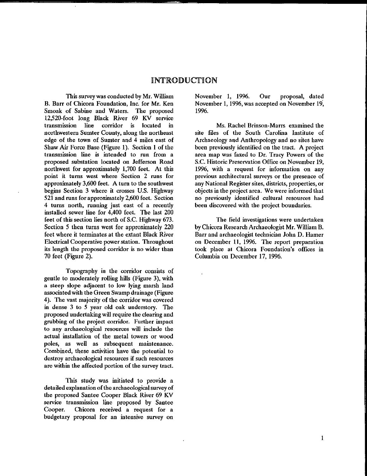### INTRODUCTION

This survey was conducted by Mr. William B. Barr of Chicora Foundation, Inc. for Mr. Ken Smoak of Sabine and Waters. The proposed 12,520-foot long Black River 69 KV service **transmission line corridor is located in**  northwestern Sumter County, along the northeast edge of the town of Sumter and 4 miles east of Shaw Air Force Base (Figure 1). Section 1 of the **transmission line is intended to run from a**  proposed substation located on Jefferson Road northwest for approximately 1,700 feet. At this **point it turns west where Section 2 runs for**  approximately 3,600 feet. A tum to the southwest begins Section 3 where it crosses U.S. Highway 521 and runs for approximately 2,600 feet. Section 4 turns north, running just east of a recently installed sewer line for 4,400 feet. The last 200 feet of this section lies north of S.C. Highway 673. Section 5 then turns west for approximately 220 feet where it terminates at the extant Black River Electrical Cooperative power station. Throughout its length the proposed corridor is no wider than 70 feet (Figure 2).

Topography in the corridor consists of gentle to moderately rolling hills (Figure 3), with a steep slope adjacent to low lying marsh land associated with the Green Swamp drainage (Figure 4). The vast majority of the corridor was covered in dense 3 to 5 year old oak understory. The proposed undertaking will require the clearing and grubbing of the project corridor. Further impact to any archaeological resources will include the actual installation of the metal towers or wood poles, as well as subsequent maintenance. Combined, these activities have the potential to destroy archaeological resources if such resources are within the affected portion of the survey tract.

This study was initiated to provide a detailed explanation of the archaeological survey of the proposed Santee Cooper Black River 69 KV service transmission line proposed by Santee Cooper. Chicora received a request for a budgetary proposal for an intensive survey on

November 1, 1996. Our proposal, dated November 1, 1996, was accepted on November 19·, 1996.

Ms. Rachel Brinson-Marrs examined the site files of the South Carolina Institute of Archaeology and Anthropology and no sites have been previously identified on the tract. A project area map was faxed to Dr. Tracy Powers of the S.C. Historic Preservation Office on November 19, 1996, with a request for information on any **previous architectural surveys or the presence of any National Register sites, districts, properties, or**  objects in the project area. We were informed that **no previously identified cultural resources had**  been discovered with the project boundaries.

**The field investigations were undertaken**  by Chicora Research Archaeologist Mr. William B. Barr and archaeologist technician John D. Hamer on December 11, 1996. The report preparation took place at Chicora Foundation's offices in Columbia on December 17, 1996.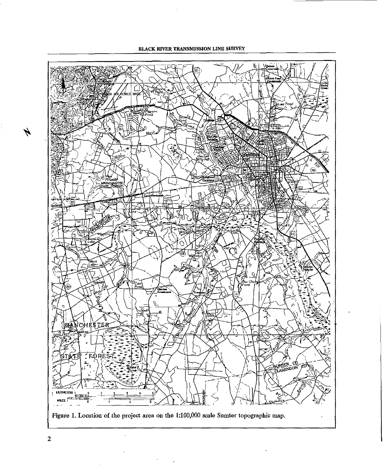**BLACK RIVER** TRANSMISSION LINE SURVEY





Á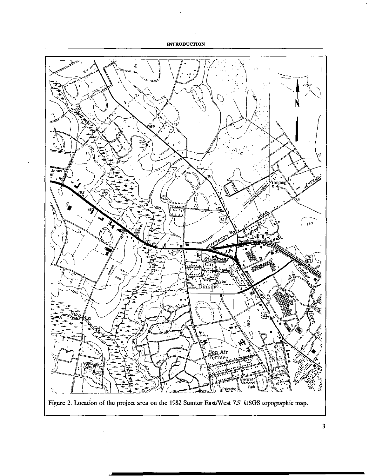INTRODUCTION

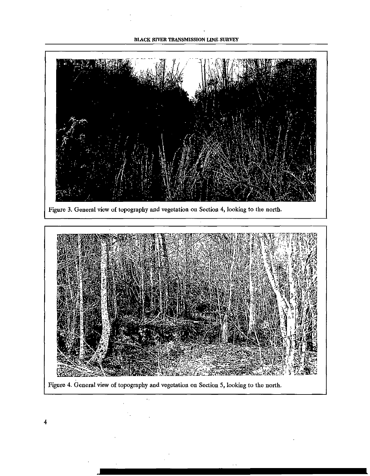BIACK RIVER TRANSMISSION LINE SURVEY



Figure 4. General view of topography and vegetation on Section 5, looking to the north.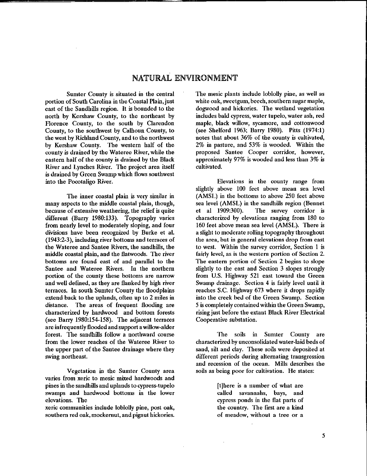## NATURAL ENVIRONMENT

Sumter County is situated in the central portion of South Carolina in the Coastal Plain, just east of the Sandhills region. It is bounded to the north by Kershaw County, to the northeast by Florence County, to the south by Clarendon County, to the southwest by Calhoun County, to the west by Richland County, and to the northwest by Kershaw County. The western half of the county is drained by the Wateree River, while the eastern half of the county is drained by the Black River and Lynches River. The project area itself is drained by Green Swamp which flows southwest into the Pocotaligo River.

The inner coastal plain is very similar in many aspects to the middle coastal plain, though, because of extensive weathering, the relief is quite different (Barry 1980:133). Topography varies from nearly level to moderately sloping, and four divisions have been recognized by Burke et al. (1943:2-3), including river bottoms and terraces of the Wateree and Santee Rivers, the sandhills, the middle coastal plain, and the flatwoods. The river bottoms are found east of and parallel to the Santee and Wateree Rivers. In the northern portion of the county these bottoms are narrow and well defined, as they are flanked by high river terraces. In south Sumter County the floodplains extend back to the uplands, often up to 2 miles in distance. The areas of frequent flooding are characterized by hardwood and bottom forests (see Barry 1980:154-158). The adjacent terraces are infrequently flooded and support a willow-alder forest. The sandhills follow a northward course from the lower reaches of the Wateree River to the upper part of the Santee drainage where they swing northeast.

Vegetation in the Sumter County area varies from xeric to mesic mixed hardwoods and pines in the sandhills and uplands to cypress-tupelo swamps and hardwood bottoms in the lower elevations. The

**xeric communities include loblolly pine, post oak,**  southern red oak, mockernut, and pignut hickories.

The mesic plants include loblolly pine, as well as white oak, sweetgum, beech, southern sugar maple, dogwood and hickories. The wetland vegetation includes bald cypress, water tupelo, water ash, red maple, black willow, sycamore, and cottonwood (see Shelford 1963; Barry 1980). Pitts (1974:1) notes that about 36% of the county is cultivated, 2% in pasture, and 53% is wooded. Within the **proposed Santee Cooper corridor, however,**  approximately 97% is wooded and less than 3% is cultivated.

**Elevations in the county range from**  slightly above 100 feet above mean sea level (AMSL) in the bottoms to above 250 feet above sea level (AMSL) in the sandhills region (Bennet<br>et al. 1909:300). The survey corridor is The survey corridor is characterized by elevations ranging from 180 to 160 feet above mean sea level (AMSL). There is a slight to moderate rolling topography throughout **the area, but in general elevations drop from east**  to west. Within the survey corridor, Section l is fairly level, as is the western portion of Section 2. **The eastern portion of Section 2 begins to slope**  slightly to the east and Section 3 slopes strongly from U.S. Highway 521 east toward the Green Swamp drainage. Section 4 is fairly level until it reaches S.C. Highway 673 where it drops rapidly into the creek bed of the Green Swamp. Section 5 is completely contained within the Green Swamp, rising just before the extant Black River Electrical Cooperative substation.

The soils in Sumter County are characterized by unconsolidated water-laid beds of sand, silt and clay. These soils were deposited at different periods during alternating transgression and recession of the ocean. Mills describes the **soils as being poor for cultivation. He states:** 

> [t)here is a number of what are **called savannahs, bays, and**  cypress ponds in the flat parts of the country. The first are a kind **of meadow, without a tree or a**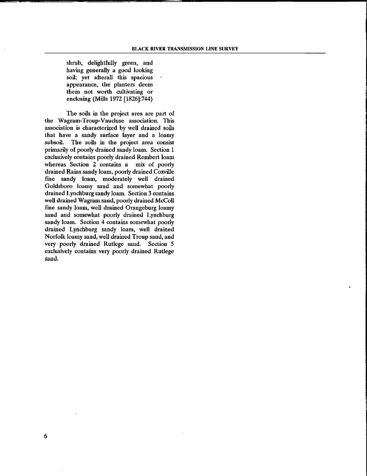shrub, delightfully green, and having generally a good looking **soil; yet afterall this spacious**  appearance, the planters deem them not worth cultivating or enclosing (Mills 1972 [1826]:744)

The soils in the project area are part of **the Wagram-Troup-Vaucluse association. This**  association is characterized by well drained soils that have a sandy surface layer and a loamy **subsoil. The soils in the project area consist**  primarily of poorly drained sandy loam. Section 1 exclusively contains poorly drained Rembert loam **whereas Section 2 contains a mix of poorly**  drained Rains sandy loam, poorly drained Coxville fine sandy loam, moderately well drained Goldsboro loamy sand and somewhat poorly drained Lynchburg sandy loam. Section 3 contains well drained Wagram sand, poorly drained McColl fine sandy loam, well drained Orangeburg loamy sand and somewhat poorly drained Lynchburg sandy loam. Section 4 contains somewhat poorly drained Lynchburg sandy loam, well drained Norfolk loamy sand, well drained Troup sand, and very poorly drained Rutlege sand. Section 5 exclusively contains very poorly drained Rutlege sand.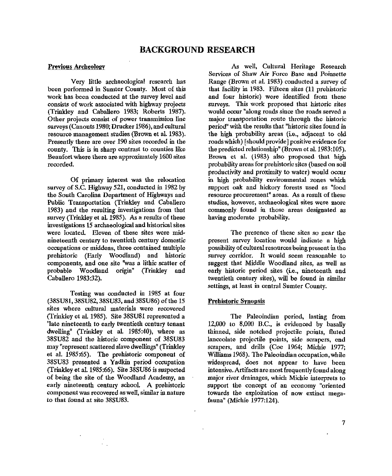### **BACKGROUND RESEARCH**

#### Previous Archeology

Very little archaeological research has been performed in Sumter County. Most of this work has been conducted at the survey level and consists of work associated with highway projects (Trinkley and Caballero 1983; Roberts 1987). Other projects consist of power transmission line surveys (Canouts 1980; Drucker 1986), and cultural resource management studies (Brown et al. 1983). Presently there are over 190 sites recorded in the county. This is in sharp contrast to counties like Beaufort where there are approximately 1600 sites recorded.

Of primary interest was the relocation survey of S.C. Highway 521, conducted in 1982 by the South Carolina Department of Highways and Public Transportation (Trinkley and Caballero 1983) and the resulting investigations from that survey (Trinkley et al. 1985). As a results of these investigations 15 archaeological aud historical sites were located. Eleven of these sites were midnineteenth century to twentieth century domestic occupations or middens, three contained multiple prehistoric (Early Woodland) and historic components, and one site "was a lithic scatter of probable Woodland origin" (Trinkley and Caballero 1983:32).

Testing was conducted in 1985 at four (38SU81, 38SU82, 38SU83, aud 38SU86) of the 15 sites where cultural materials were recovered (Trinkley et al. 1985). Site 38SU81 represented a "late nineteenth to early twentieth century tenant dwelling" (Trinkley et al. 1985:40), where as 38SU82 aud the historic component of 38SU83 may "represent scattered slave dwellings" (Trinkley et al. 1985:65). The prehistoric component of 38SU83 presented a Yadkin period occupation (Trinkley et al. 1985:66). Site 38SU86 is suspected of being the site of the Woodland Academy, an early nineteenth century school. A prehistoric **component was recovered as well, similar in nature**  to that found at site 38SU83.

As well, Cultural Heritage Research Services of Shaw Air Force Base and Poinsette Rauge (Brown et al. 1983) conducted a sutvey of that facility in 1983. Fifteen sites (11 prehistoric and four historic) were identified from these surveys. This work proposed that historic sites would occur "along roads since the roads served a major transportation route through the historic period" with the results that "historic sites found in the high probability areas (i.e., adjacent to old roads which) [should provide] positive evidence for the predicted relationship" (Brown et al. 1983:105). Brown et al. (1983) also proposed that high probability areas for prehistoric sites (based on soil productivity and proximity to water) would occur in high probability environmental zones which support oak and hickory forests used as "food **resource procurement" areas. As a result of these studies, however, archaeological sites were more**  commonly found in those areas designated as having moderate probability.

The presence of these sites so near the present survey location would indicate a high possibility of cultural resources being present in the survey corridor. It would seem reasonable to suggest that Middle Woodland sites, as well as early historic period sites (i.e., nineteenth and twentieth century sites), will be found in similar settings, at least in central Sumter County.

#### Prehistoric Synopsis

The Paleoindiau period, lasting from 12,000 to 8,000 B.C., is evidenced by basally thinned, side notched projectile points, fluted lanceolate projectile points, side scrapers, end scrapers, and drills (Coe 1964; Michie 1977; Williams 1968). The Paleoindiau occupatiou, while widespread, does not appear to have been intensive. Artifacts are most frequently found along major river drainages, which Michie interprets to support the concept of au economy "oriented towards the exploitation of now extinct megafauna" (Michie 1977:124).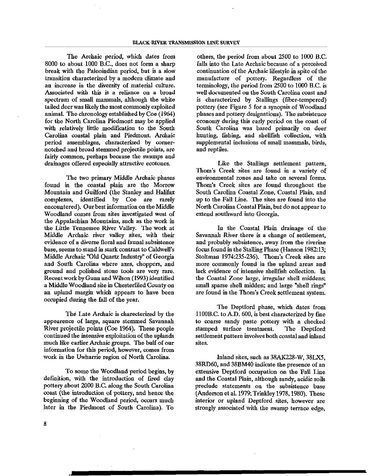The Archaic period, which dates from 8000 to about 1000 B.C., does not form a sharp break with the Paleoindian period, but is a slow transition characterized by a modern climate and an increase in the diversity of material culture. Associated with this is a reliance on a broad spectrum of small mammals, although the white tailed deer was likely the most commonly exploited animal. The chronology established by Coe (1964) for the North Carolina Piedmont may be applied with relatively little modification to the South Carolina coastal plain and Piedmont. Archaic period assemblages, characterized by cornernotched and broad stemmed projectile points, are fairly common, perhaps because the swamps and drainages offered especially attractive ecotones.

The two primary Middle Archaic phases found in the coastal plain are the Morrow Mountain and Guilford (the Stanley and Halifax complexes, identified by Coe are rarely encountered). Our best information on the Middle Woodland comes from sites investigated west of the Appalachian Mountains, such as the work in the Little Tennessee River Valley. The work at Middle Archaic river valley sites, with their evidence of a diverse floral and faunal subsistence base, seems to stand in stark contrast to Caldwell's Middle Archaic "Old Quartz Industry" of Georgia and South Carolina where axes, choppers, and ground and polished stone tools are very rare. Recent work by Gunu and Wilson (1993) identified a Middle Woodland site in Chesterfiled County on an upland margin which appears to have been occupied during the fall of the year.

The Late Archaic is charecterized by the appearence of large, square stemmed Savanuah River projectile points (Coe 1964). These people continued the intensive exploitation of the uplands much like earlier Archaic groups. The bulf of our information for this period, however, comes from work in the Uwharrie region of North Carolina.

To some the Woodland period begins, by definition, with the introduction of fired clay pottery about 2000 B.C. along the South Carolina coast (the introduction of pottery, and hence the beginning of the Woodland period, occurs much later in the Piedmont of South Carolina). To

others, the period from about 2500 to 1000 B.C. falls into the Late Archaic because of a perceived continuation of the Archaic lifestyle in spite of the manufacture of pottery. Regardless of the terminology, the period from 2500 to 1000 B.C. is well documented on the South Carolina coast and is characterized by Stallings (fiber-tempered) pottery (see Figure 5 for a synopsis of Woodland phases and pottery designations). The subsistence economy during this early period on the coast of South Carolina was based primarily on deer hunting, fishing, and shellfish collection, with supplemental inclusions of small mammals, birds, and reptiles.

Like the Stallings settlement pattern, Thom's Creek sites are found in a variety of **environmental zones and take on several forms.**  Thom's Creek sites are found throughout the South Carolina Coastal Zone, Coastal Plain, and up to the Fall Line. The sites are found into the North Carolina Coastal Plain, but do not appear to extend southward into Georgia.

In the Coastal Plain drainage of the Savannah River there is a change of settlement, and probably subsistence, away from the riverine focus found in the Stalling Phase (Hanson 1982:13; Stoltman 1974:235-236). Thom's Creek sites are more commonly found in the upland areas and lack evidence of intensive shellfish collection. In the Coastal Zone large, irregular shell middens; small sparse shell midden; and large "shell rings" are found in the Thom's Creek settlement system.

The Deptford phase, which dates from llOOB.C. to A.D. 600, is best characterized by fine to coarse sandy paste pottery with a checked stamped surface treatment. The Deptford settlement pattern involves both coastal and inland **sites.** 

Inland sites, such as 38AK228-W, 38LX5, 38RD60, and 38BM40 indicate the presence of an extensive Deptford occupation on the Fall Line and the Coastal Plain, although sandy, acidic soils preclude statements on the subsistence base (Anderson et al. 1979; Trinkley 1978, 1980). These interior or upland Deptford sites, however are strongly associated with the swamp terrace edge,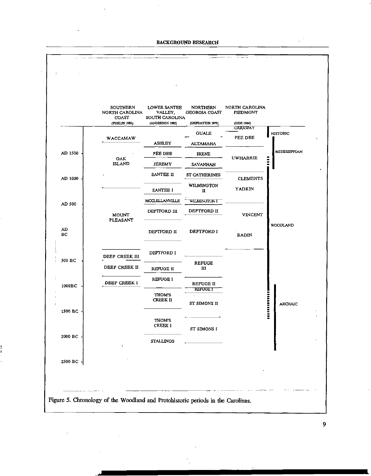|          | SOUTHERN<br>NORTH CAROLINA<br>COAST | LOWER SANTEE<br>VALLEY.<br>SOUTH CAROLINA | <b>NORTHERN</b><br><b>GEORGIA COAST</b> | NORTH CAROLINA<br>PIEDMONT   |               |
|----------|-------------------------------------|-------------------------------------------|-----------------------------------------|------------------------------|---------------|
|          | (PHELPS 1933)                       | (ANDERSON 1982)                           | (DEPRATTER 1979)                        | (COE 1964)<br><b>CARAWAY</b> |               |
|          | WACCAMAW                            | <b>ASHLEY</b>                             | <b>GUALE</b><br><b>ALTAMAHA</b>         | PEE DEE                      | HISTORIC      |
| AD 1500  |                                     | PEE DEE                                   | <b>IRENE</b>                            | <b>UWHARRIE</b><br>፣         | MISSISSIPPIAN |
|          | <b>OAK</b><br><b>ISLAND</b>         | <b>JEREMY</b>                             | <b>SAVANNAH</b>                         |                              |               |
|          |                                     | SANTEE II                                 | <b>ST CATHERINES</b>                    |                              |               |
| AD 1000  |                                     | SANTEE I                                  | WILMINGTON<br>п                         | <b>CLEMENTS</b><br>YADKIN    |               |
| AD 500   |                                     | MCCLELLANVILLE                            | <b>MITWINGTON I</b>                     |                              |               |
|          | <b>MOUNT</b>                        | <b>DEFIFORD III</b>                       | DEPTFORD II                             | <b>VINCENT</b>               |               |
| AD<br>BС | PLEASANT                            | <b>DEPTFORD II</b>                        | DEPTFORD I                              | BADIN                        | WOODLAND      |
| 500 BC   | DEEP CREEK III                      | <b>DEPTFORD I</b>                         |                                         |                              |               |
|          | DEEP CREEK II                       | <b>REFUGE II</b>                          | <b>REFUGE</b><br>ш                      |                              |               |
| 1000BC   | DEEP CREEK I                        | <b>REFUGE I</b>                           | <b>REFUGE II</b>                        |                              |               |
|          |                                     | <b>THOM'S</b><br>CREEK II                 | <b>REFUGE I</b><br><b>ST SIMONS II</b>  |                              | ARCHAIC       |
| 1500 BC  |                                     | <b>THOM'S</b><br>CREEK I                  | ST SIMONS I                             |                              |               |
| 2000 BC  |                                     | <b>STALLINGS</b>                          |                                         |                              |               |
| 2500 BC  |                                     |                                           |                                         |                              |               |

BACKGROUND RESEARCH

 $\bar{z}$ 

 $\mathcal{L}_{\mathbf{a}}$ 

 $\ddot{\phantom{a}}$ 

l,

 $\vdots$ 

l,

J.

 $\bar{1}$ 

9

 $\label{eq:2} \frac{1}{2} \rho \frac{d\phi}{d\phi} = \frac{1}{2} \rho \frac{d\phi}{d\phi} \frac{d\phi}{d\phi}$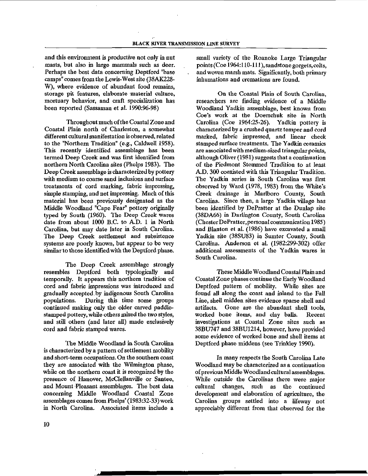and this environment is productive not only in nut masts, but also in large mannnals such as deer. Perhaps the best data concerning Deptford "base camps" comes from the Lewis-West site (38AK228- W), where evidence of abundant food remains, storage pit features, elaborate material culture, mortuary behavior, and craft specialization has been reported (Sassaman et al. 1990:96-98)

Throughout much of the Coastal Zone and Coastal Plain north of Charleston, a somewhat different cultural manifestation is observed, related to the "Northern Tradition" (e.g., Caldwell 1958). This recently identified assemblage has been termed Deep Creek and was first identified from northern North Carolina sites (Phelps 1983). The Deep Creek assemblage is characterized by pottery with medium to coarse sand inclusions and surface treatments of cord marking, fabric impressing, simple stamping, and net impressing. Much of this material has been previously designated as the Middle Woodland "Cape Fear" pottery originally typed by South (1960). The Deep Creek wares date from about 1000 B.C. to AD. 1 in North Carolina, but may date later in South Carolina. The Deep Creek settlement and subsistence systems are poorly known, but appear to be very similar to those identified with the Deptford phase.

The Deep Creek assemblage strongly resembles Deptford both typologically and temporally. It appears this northern tradition of cord and fabric impressions was introduced and gradually accepted. by indigenous South Carolina populations. During this time some groups continued making only the older carved paddlestamped pottery, while others mixed the two styles, and still others (and later all) made exclusively cord and fabric stamped wares.

The Middle Woodland in. South Carolina is characterized by a pattern of settlement mobility and short-term occupations. On the southern coast they are associated with the Wihnington phase, while on the northern coast it is recognized by the presence of Hanover, McClellanville or Santee, and Mount ·Pleasant assemblages. The best data concerning Middle Woodland Coastal Zone assemblages comes from Phelps' (1983:32-33) work in North Carolina. Associated items include a

small variety of the Roanoke Large Triangular points (Coe 1964:110-111), sandstone gorgets, celts, and woven marsh mats. Significantly, both primary inhumations and cremations are found.

On the Coastal Plain of South Carolina, researchers are finding evidence of a Middle Woodland Yadkin assemblage, best known from Coe's work at the Doerschuk site in North Carolina (Coe 1964:25-26). Yadkin pottery is characterized by a crushed quartz temper and cord marked, fabric impressed, and linear check stamped surface treatments. The Yadkin ceramics **are associated with** medium~sized **triangular points,**  although Oliver (1981) suggests that a continuation of the Piedmont Stemmed Tradition to at least AD. 300 coexisted with this Triangular Tradition. The Yadkin series in South Carolina was first observed by Ward (1978, 1983) from the White's Creek drainage in Marlboro County, South Carolina. Since then, a large Yadkin village has been identified by DePratter at the Dunlap site (38DA66) in Darlington County, South Carolina (Chester DePratter,personal conununication 1985) and Blanton et al. (1986) have excavated a small Yadkin site (38SU83) in Sumter County, South Carolina. Anderson et al. (1982:299-302) offer additional assessments of the Yadkin wares in South Carolina.

These Middle Woodland Coastal Plain and Coastal Zone phases continue the Early Woodland Deptford pattern of mobility. While sites are found all along the coast and inland to the Fall Line, shell midden sites evidence sparse shell and artifacts. Gone are the abundant shell tools, worked bone items, and clay balls. Recent investigations at Coastal Zone sites such as 38BU747 and 38BU1214, however, have provided some evidence of worked bone and shell items at Deptford phase middens (see Trinkley 1990).

In many respects the Sonth Carolina Late Woodland may be characterized as a continuation of previous Middle Woodland cultural assemblages. While outside the Carolinas there were major cultural changes, such as the continued development and elaboration of agriculture, the Carolina groups settled into a lifeway not appreciably different from that observed for the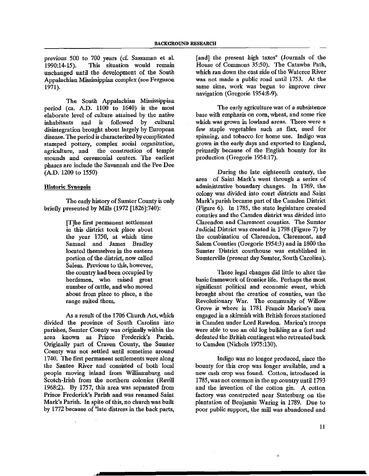previous 500 to 700 years (cf. Sassaman et aL 1990:14-15). This situation would remain unchanged until the development of the South Appalachian Mississippian complex (see Ferguson 1971).

The South Appalachian Mississippian period (ca. A.D.  $1100$  to  $1640$ ) is the most elaborate level of culture attained by the native inhabitants and is followed by cultural disintegration brought about largely by European disease. The period is characterized by complicated stamped pottery, complex social organization, agriculture, and the construction of temple mounds and ceremonial centers. The earliest phases are include the Savannah and the Pee Dee (A.D. 1200 to 1550)

#### **Historic Synopsis**

The early history of Sumter County is only briefly presented by Mills (1972 [1826]:740):

> [T]he first permanent settlement in this district took place about the year 1750, at which time Samuel and James Bradley located themselves in the eastern portion of the district, now called **Salem. Previous to this, however,**  the country had been occupied by herdsmen, who raised great number of cattle, and who moved about from place to place, a the range suited them.

As a result of the 1706 Church Act, which divided the province of South Carolina into parishes, Sumter County was originally within the area known as Prince Frederick's Parish. Originally part of Craven County, the Sumter County was not settled until sometime around 1740. The first permanent settlements were along the Santee River and consisted of both local people moving inland from Williamsburg and Scotch-Irish from the northern colonies (Revill 1968:2). By 1757, this area was separated from Prince Frederick's Parish and was renamed Saint Mark's Parish. In spite of this, no church was built by 1772 because of 'fate distress in the back parts,

[and] the present high taxes" (Journals of the House of Commons 35:50). The Catawba Path, which ran down the east side of the Wateree River was not made a public road until 1753. At the **same time, work was begun to improve river**  uavigation (Gregorie 1954:8-9).

The early agriculture was of a subsistence **base with emphasis on com, wheat, and some rice which was grown in lowland areas. There were a**  few staple vegetables such as flax, used for spinning, and tobacco for home use. Indigo was grown in the early days and exported to England, primarily because of the English bounty for its production (Gregorie 1954:17).

During the late eighteenth century, the area of Saint Mark's went through a series of administrative boundary changes. In 1769, the colony was divided into court districts and Saint Mark's parish became part of the Camden District (Figure 6). In 1785, the state legislature created counties and the Camden district was divided into Clarendon and Claremont counties. The Sumter Judicial District was created in 1798 (Figure 7) by the combination of Clarendon, Claremont, and Salem Counties (Gregorie 1954:3) and in 1800 the Sumter District courthouse was established in Sumterville (present day Sumter, South Carolina).

These legal changes did little to alter the basic framework of frontier life. Perhaps the most significant political and economic event, which brought about the creation of counties, was the Revolutionary War. The community of Willow Grove is where in 1781 Francis Marion's men engaged in a skirmish with British forces stationed in Camden under Lord Rawdon. Marion's troops were able to use an old log building as a fort and defeated the British contingent who retreated back to Camden (Nichols 1975:130).

Indigo was no longer produced, since the bounty for this crop was longer available, and a new cash crop was found. Cotton, introduced in 1785, was not common in the up country until 1793 and the invention of the cotton gin. A cotton factory was constructed near Statesburg on the plantation of Benjamin Waring in 1789. Due to poor public support, the mill was abandoned and

 $\bar{\tau}$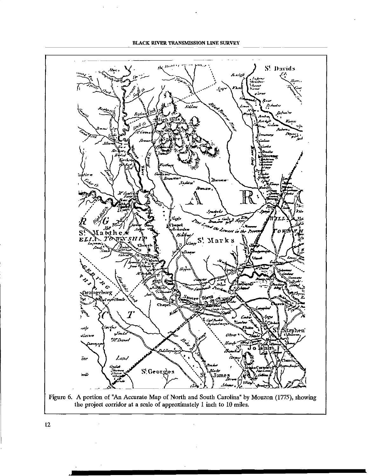BLACK RIVER TRANSMISSION LINE SURVEY

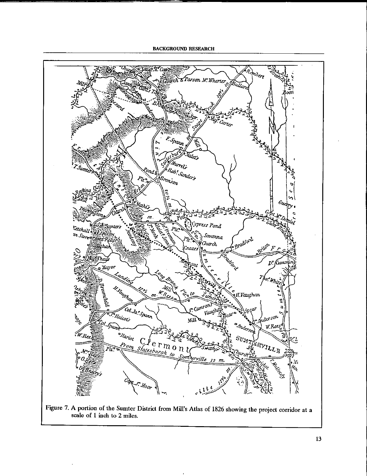BACKGROUND RESEARCH



Figure 7. A portion of the Sumter District from Mill's Atlas of 1826 showing the project corridor at a scale of 1 inch to 2 miles.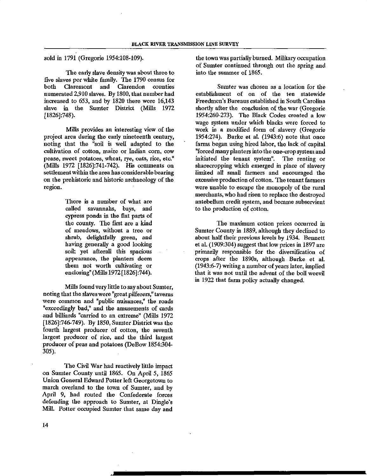sold in 1791 (Gregoria 1954:108-109).

The early slave density was about three to five slaves per white family. The 1790 census for Claremont and Clarendon counties numerated 2,910 slaves. By 1800, that number had increased to 653, and by 1820 there were 16,143 slave in the Sumter District (Mills 1972 [1826):748).

Mills provides an interesting view of the project area during the early nineteenth century, noting that the "soil is well adapted to the cultivation of cotton, maize or Indian corn, cow pease, sweet potatoes, wheat, rye, oats, rice, etc."  $(Mills$  1972  $[1826]$ :741-742). His comments on settlement within the area has considerable bearing on the prehistoric and historic archaeology of the region.

> There is a number of what are called savannahs, bays, and cypress ponds in the flat parts of the county. The first are a kind **of meadows, without a tree or**  shrub, delightfully green, and having generally a good looking soil: yet afterall this spacious appearance, the planters deem them not worth cultivating or enclosing" (Mills 1972(1826):744).

Mills fonnd very little to say about Sumter, noting that the slaves were "great pilferers," taverns **were common and "public nuisances," the roads**  "exceedingly bad," and the amusements of cards and billiards "carried to an extreme" (Mills 1972 [1826]:746-749). By 1850, Sumter District was the fourth largest producer of cotton, the seventh largest producer of rice, and the third largest producer of peas and potatoes (DeBow 1854:304- 305).

The Civil War had reactively little impact on Sumter County until 1865. On April *5,* 1865 Union General Edward Potter left Georgetown to march overland to the town of Sumter, and by April 9, had routed the Confederate forces defending the approach to Sumter, at Dingle's Mill. Potter occupied Sumter that same day and

the town was partially burned. Military occupation of Sumter continued through out the spring and into the summer of 1865.

Sumter was chosen as a location for the establishment of on of the ten statewide Freedmen's Bureaus established in South Carolina shortly after the conclusion of the war (Gregorie. 1954:260-273). The Black Codes created a low wage system under which blacks were forced to work in a modified form of slavery (Gregorie 1954:274). Burke et al. (1943:6) note that ouce farms began using hired labor, the lack of capital "forced many planters into the one-crop system and initiated the tenant system". The renting or sharecropping which emerged in place of slavery limited all small farmers and encouraged the excessive production of cotton. The tenant farmers were unable to escape the monopoly of the rural merchants, who had risen to replace the destroyed antebellum credit system, and became subservient to the production of cotton.

The maximum cottou prices occurred in Sumter County in 1889, although they declined to about half their previous levels by 1934. Bennett et al.  $(1909:304)$  suggest that low prices in 1897 are primarily responsible for the diversification of crops after the 1890s, although Burke et al. (1943:6-7) writing a uumber of years later, implied that it was not until the advent of the boll weevil in 1922 that farm policy actually changed.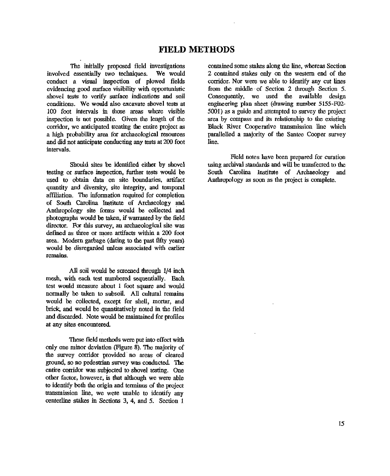The initially proposed field investigations<br>constantly two techniques. We would involved essentially two techniques. conduct a visna1 inspection of plowed fields evidencing good surface visibility with opportunistic shovel tests to verify surface indications and soil conditions. We would also excavate shovel tests at 100 foot intervals in those areas where visible inspection is not possible. Given the length of the corridor, we anticipated treating the entire project as a high probability area for archaeological resources and did not anticipate conducting any tests at 200 foot intervals.

Should sites be identified either by shovel testing or surface inspection, further tests would be used to obtain data on site boundaries, artifact quantity and diversity, site integrity, and temporal affiliation. The information required for completion of South Carolina Institute of Archaeology and Anthropology site forms would be collected and photographs would be taken, if warranted by the field director. For this survey, an archaeological site was defined as three or more artifacts within a 200 foot area. Modem garbage (dating to the past fifty years) would be disregarded unless associated with earlier remains.

All soil would be screened through 1/4 inch mesh, with each test numbered sequentially. Each test would measure about 1 foot square and would normally be taken to subsoil. All cultural remains would be collected, except for shell, mortar, and brick, and would be quantitatively noted in the field and discarded. Note would be maintained for profiles at any sites encountered.

These field methods were put into effect with only one minor deviation (Figure 8). The majority of the survey corridor provided no areas of cleared ground, so no pedestrian survey was conducted. The entire corridor was subjected to shovel testing. One other factor, however, is that although we were able to identify both the origin and terminus of the project transmission line, we were unable to identify any centerline stakes in Sections 3, 4, and *5.* Section 1

contained some stakes along the line, whereas Section 2 contained stakes only on the western end of the corridor. Nor were we able to identify any cut lines from the middle of Section 2 through Section 5. Consequently, we used the available design engineering plan sheet (drawing number 5155-F02- 5001) as a guide and attempted to survey the project area by compass and its relationship to the existing Black River Cooperative transmission line which parallelled a majority of the Santee Cooper survey line.

Field notes have been prepared for curation using archival standards and will be transferred to the<br>South Carolina Institute of Archaeology and South Carolina Institute of Archaeology Anthropology as soon as the project is complete.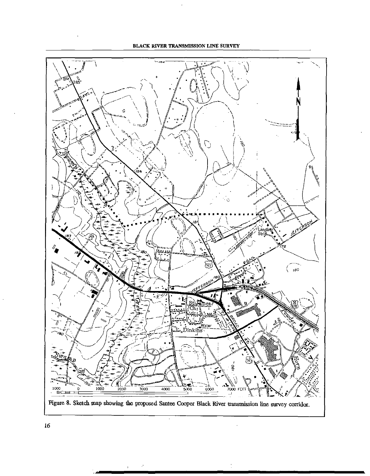

 $\cdot$ 

 $\mathbb{R}^2$ 

 $\overline{1}$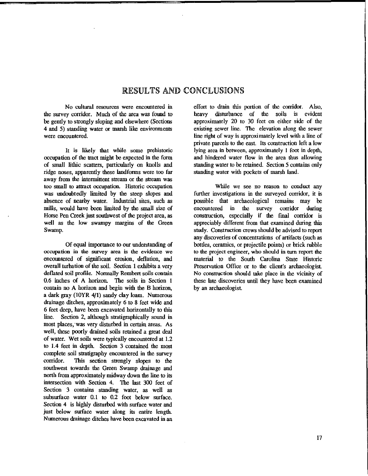## RESULTS AND CONCLUSIONS

No cultural resources were encountered in the survey corridor. Much of the area was found to be gently to strongly sloping and elsewhere (Sections 4 and 5) standing water or marsh like environments **were encountered.** 

It is likely that while some prehistoric occupation of the tract might be expected in the form of small lithic scatters, particularly on knolls and ridge noses, apparently these landforms were too far away from the intermittent stream or the stream was too small to attract occupation. Historic occupation was undoubtedly limited by the steep slopes and absence of nearby water. Industrial sites, such as mills, would have been limited by the small size of Horse Pen Creek just southwest of the project area, as well as the low swampy margins of the Green Swamp.

Of equal importance to our understanding of **occupation in the swvey area is the evidence we**  encountered of significant erosion, deflation, and overall turbation of the soil. Section 1 exhibits a very deflated soil profile. Normally Rembert soils contain 0.6 inches of A horizon. The soils in Section 1 contain no A horizon and begin with the B horizon, a dark gray (IOYR 4/1) sandy clay loam. Numerous drainage ditches, approximately 6 to 8 feet wide and 6 feet deep, have been excavated horizontally to this line. Section 2, although stratigraphically sound in most places;was very disturbed in certain areas. As well, these poorly drained soils retained a great deal of water. Wet soils were typically encountered at 1.2 to 1.4 feet in depth. Section 3 contained the most complete soil stratigraphy encountered in the survey corridor. This section strongly slopes to the southwest towards the Green Swamp drainage and north from approximately midway down the line to its intersection with Section 4. The last 300 feet of Section 3 contains standing water, as well as subsurface water 0.1 to 0.2 foot below surface. Section 4 is highly disturbed with surface water and just below surface water along its entire length. Numerous drainage ditches have been excavated in an

effort to drain this portion of the corridor. Also, heavy disturbance of the soils is evident approximately 20 to 30 feet on either side of the existing sewer line. The elevation along the sewer line right of way is approximately level with a line of private parcels to the east. Its construction left a low lying area in berween, approximately I foot in depth, and hindered water flow in the area thus allowing standing water to be retained. Section 5 contains only standing water with pockets of marsh land.

**While** we see **no reason to conduct any**  further investigations in the surveyed corridor, it is possible that archaeological remains may be encountered in the survey corridor during construction, especially if the fmal corridor is appreciably different from that examined during this study. Construction crews should be advised to report any discoveries of concentrations of artifacts (such as bottles, ceramics, or projectile points) or brick rubble to the project engineer, who should in turn report the material to the South Carolina State Historic Preservation Office or to the client's archaeologist. No construction should take place in the vicinity of these late discoveries until they have been examined by an archaeologist.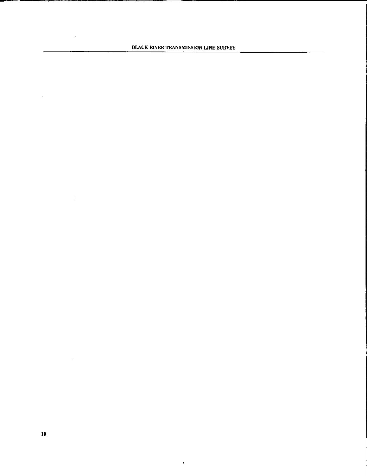BLACK RIVER TRANSMISSION LINE SURVEY

 $\sim 10^{-11}$ 

 $\sim$   $\sim$ 

 $\sim 10^{-10}$ 

 $\langle \cdot, \cdot \rangle$ 

 $\sim 10^6$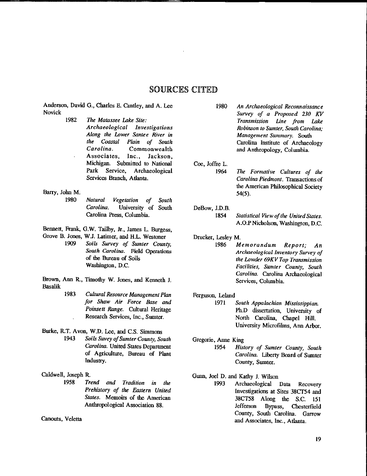## SOURCES CITED

Anderson, David G., Charles E. Cantley, and A. Lee Novick

> 1982 *The Matassee Lake Site: Archaeological Investigations Along the Lower Santee River in the Coastal Plain of South Carolina.* **Commonwealth Associates, Inc., Jackson,**  Michigan. Submitted to National Park Service, Archaeological Services Branch, Atlanta.

Barry, John M.

- 1980 *Natural Vegetation of South Carolina.* University of South Carolina Press, Colwnbia.
- Bennett, Frank, G.W. Tailby, Jr., James L. Burgess,
- Grove B. Jones, W.J. Latimer, and H.L. Westoner 1909 *Soils Survey of Sumter County, South Carolina.* Field Operations of the Bureau of Soils Washington, D.C.
- Brown, Ann R., Timothy W. Jones, and Kenneth J. Basalik
	- 1983 *Cultural Resource Management Plan for Shaw Air Farce Base and Poinsett Range.* Cultural Heritage Research Services, lnc., Swnter.
- Burke, R.T. Avon, W.D. Lee, and C.S. Simmons 1943 Soils Suvey of Sunter County, South *Carolina.* United States Deparunent of Agriculture, Bureau of Plant Industry.

Caldwell, Joseph R.

1958 *Trend and Tradition in the Prehistory of the Eastern United States.* Memoirs of the American Anthropological Association 88.

Canouts, Veletta

1980 *An Archaeological Reconnaissance Survey of a Proposed 230 KV Transmission line from Lake Robinson to Sumter, South Carolina; Management Summary.* South Carolina Institute of Archaeology and Anthropology, Colwnbia.

Coe, Joffre L.

- 1964 *The Formative Cultures of the Carolina Piedmont.* Transactions of the American Philosophical Society 54(5).
- DeBow, J.D.B. 1854
	- *Statistical Viewofthe United States.*  A.0.P Nicholson, Washington, D.C.
- Drucker, Lesley M.
	- 1986 *Memorandum Report; An Archaeological Inventory Survey of the Lowder 69KV Tap Transmission Facilities, Sumter County, South Carolina.* Carolina Archaeological **Services, Columbia.**
- Ferguson, Leland
	- 1971 *South Appalachian Mississippian.*  Ph.D dissertation, University of North Carolina, Chapel Hill. University Microfihns, Ann Arbor.
- Gregorie, Anue King
	- 1954 *History of Sumter County, South Carolina.* Liberty Board of Swnter County, Swnter.
- Gwm, Joel D. and Kathy J. Wilson
	- 1993 Archaeological Data Recovery Investigations at Sites 38CT54 and 38CT58 Along the S.C. 151 Jefferson Bypass, Chesterfield County, South Carolina. Garrow and Associates, lnc., Atlanta.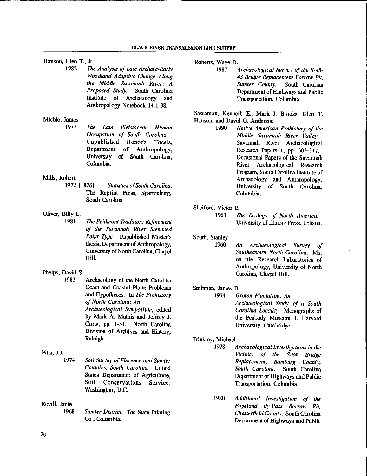- Hanson, Glen T., Jr. 1982 The *Analysis of Late Archaic-Early Woodland Adaptive Change Along the Middle Savannah River: A Proposed Study.* South Carolina Institute of Archaeology and Anthropology Notebook 14: 1-38.
- Michie, James
	- 1977 *The Late Pleistocene Human Occupation of South Carolina.*  Unpublished Honor's Thesis, of Anthropology, University of South Carolina, Columbia.

#### Mills, Robert

- 1972 [1826] *Statistics of South Carolina.*  The Reprint Press, Spartenburg, South Carolina.
- Oliver, Billy L.
	- 1981 The *Peidmont Tradition: Refinement of the Savannah River Stemmed Point Type.* Unpublished Master's thesis, Department of Anthropology, University of North Carolina, Chapel Hill.
- Phelps, David S.
	- 1983 Archaeology of the North Carolina Coast and Coastal Plain: Problems and Hypotheses. In *The Prehistory of North Carolina: An Archaeological Symposium,* edited by Mark A. Mathis and Jeffrey J. Crow, pp. 1-51. North Carolina Division of Archives and History, Raleigh.

#### Pitts, I.I.

1974 *Soil Survey of Florence and Sumter Counties, South Carolina.* United States Deparunent of Agriculture, Soil Conservations Service, Washington, D.C.

#### Revill, Janie

1968 *Sumter District.* The State Printing Co., Columbia.

#### Roberts, Wave D.

1987 *Archaeological Survey of the S-43- 43 Bridge Replacement Borrow Pit, Sumter County.* South Carolina Department of Highways and Public Transportation, Columbia.

Sassaman, Kenneth E., Mark J. Brooks, Glen T. Hanson, and David G. Anderson

- 1990 *Native American Prehistory of the Middle Savannah River Valley.*  Savannah River Archaeological Research Papers I, pp. 303-317. Occasional Papers of the Savannah River Archaeological Research Program, South Carolina Institute of Archaeology and Anthropology, University of South Carolina, Columbia.
- Shelford, Victor E.
	- 1963 *171e Ecology of North America.*  University of Illinois Press, Urbana.
- South, Stanley

1960

*An Archaeological Survey of Southeastern North Carolina.* **Ms.**  on file, Research Laboratories of Anthropology, University of North Carolina, Chapel Hill.

#### Stoltman, James B.

1974 *Groton Plantation: An Archaeological Study of a South Carolina locality.* Monographs of the Peabody Museum 1, Harvard University, Cambridge.

#### Trinkley, Michael

- 1978 *Archaeological Investigations in the Vicinity of the S-84 Bridge Replacement, Bamburg County, South Carolina.* South Carolina Department of Highways and Public Transportation, Columbia.
	- 1980 *Additional Investigation of the Pageland By-Pass Borrow Pit, Chesterfield County.* South Carolina Department of Highways and Public